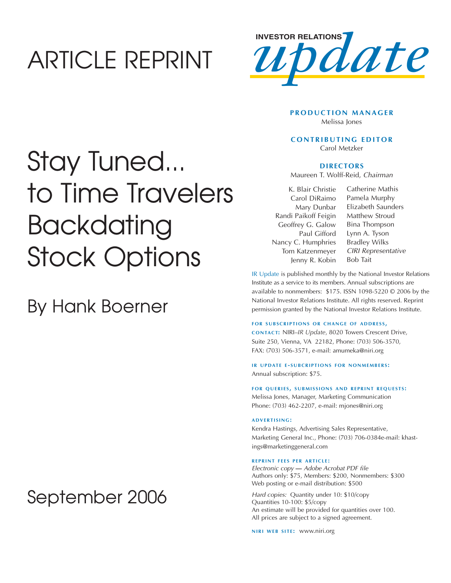## ARTICLE REPRINT



### **PRODUCTION MANAGER** Melissa Jones

### **CONTRIBUTING EDITOR** Carol Metzker

### **DIRECTORS**

Maureen T. Wolff-Reid, Chairman

K. Blair Christie Carol DiRaimo Mary Dunbar Randi Paikoff Feigin Geoffrey G. Galow Paul Gifford Nancy C. Humphries Tom Katzenmeyer Jenny R. Kobin

Catherine Mathis Pamela Murphy Elizabeth Saunders Matthew Stroud Bina Thompson Lynn A. Tyson Bradley Wilks CIRI Representative Bob Tait

IR Update is published monthly by the National Investor Relations Institute as a service to its members. Annual subscriptions are available to nonmembers: \$175. ISSN 1098-5220 © 2006 by the National Investor Relations Institute. All rights reserved. Reprint permission granted by the National Investor Relations Institute.

### **FOR SUBSCRIPTIONS OR CHANGE OF ADDRESS,**

**CONTACT:** NIRI–*IR Update*, 8020 Towers Crescent Drive, Suite 250, Vienna, VA 22182, Phone: (703) 506-3570, FAX: (703) 506-3571, e-mail: amumeka@niri.org

**IR UPDATE E - SUBCRIPTIONS FOR NONMEMBERS :** Annual subscription: \$75.

#### **FOR QUERIES, SUBMISSIONS AND REPRINT REQUESTS:**

Melissa Jones, Manager, Marketing Communication Phone: (703) 462-2207, e-mail: mjones@niri.org

### **ADVERTISING:**

Kendra Hastings, Advertising Sales Representative, Marketing General Inc., Phone: (703) 706-0384e-mail: khastings@marketinggeneral.com

### **REPRINT FEES PER ARTICLE :**

Electronic copy **—** Adobe Acrobat PDF file Authors only: \$75, Members: \$200, Nonmembers: \$300 Web posting or e-mail distribution: \$500

Hard copies: Quantity under 10: \$10/copy Quantities 10-100: \$5/copy An estimate will be provided for quantities over 100. All prices are subject to a signed agreement.

**NIRI WEB SITE: WWW.niri.org** 

# Stay Tuned... to Time Travelers Backdating Stock Options

### By Hank Boerner

## September 2006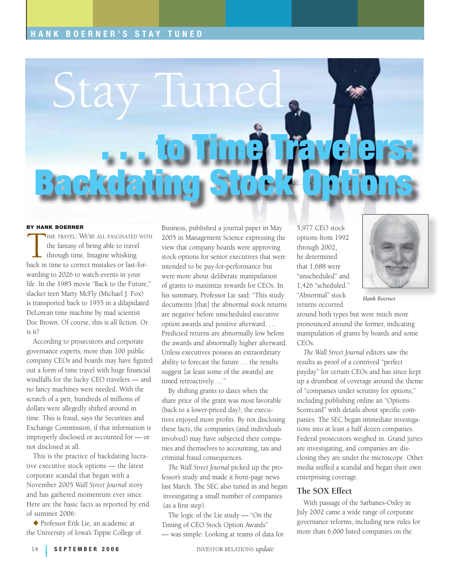### **HANK BOERNER'S STAY TUNED**



### **BY HANK BOERNER**

TIME TRAVEL: WE'RE ALL FASCINATED WITH<br>the fantasy of being able to travel<br>through time. Imagine whisking<br>back in time to correct mistakes or fast-forthe fantasy of being able to travel through time. Imagine whisking warding to 2026 to watch events in your life. In the 1985 movie "Back to the Future," slacker teen Marty McFly (Michael J. Fox) is transported back to 1955 in a dilapidated DeLorean time machine by mad scientist Doc Brown. Of course, this is all fiction. Or is it?

According to prosecutors and corporate governance experts, more than 100 public company CEOs and boards may have figured out a form of time travel with huge financial windfalls for the lucky CEO travelers — and no fancy machines were needed. With the scratch of a pen, hundreds of millions of dollars were allegedly shifted around in time. This is fraud, says the Securities and Exchange Commission, if that information is improperly disclosed or accounted for — or not disclosed at all.

This is the practice of backdating lucrative executive stock options — the latest corporate scandal that began with a November 2005 *Wall Street Journal* story and has gathered momentum ever since. Here are the basic facts as reported by end of summer 2006:

◆ Professor Erik Lie, an academic at the University of Iowa's Tippie College of Business, published a journal paper in May 2005 in Management Science expressing the view that company boards were approving stock options for senior executives that were intended to be pay-for-performance but were more about deliberate manipulation of grants to maximize rewards for CEOs. In his summary, Professor Lie said: "This study documents [that] the abnormal stock returns are negative before unscheduled executive option awards and positive afterward. … Predicted returns are abnormally low before the awards and abnormally higher afterward. Unless executives possess an extraordinary ability to forecast the future … the results suggest [at least some of the awards] are timed retroactively. …"

By shifting grants to dates when the share price of the grant was most favorable (back to a lower-priced day), the executives enjoyed more profits. By not disclosing these facts, the companies (and individuals involved) may have subjected their companies and themselves to accounting, tax and criminal fraud consequences.

*The Wall Street Journal* picked up the professor's study and made it front-page news last March. The SEC also tuned in and began investigating a small number of companies (as a first step).

The logic of the Lie study — "On the Timing of CEO Stock Option Awards" — was simple: Looking at reams of data for

5,977 CEO stock options from 1992 through 2002, he determined that 1,688 were "unscheduled" and 1,426 "scheduled." "Abnormal" stock returns occurred



*Hank Boerner*

around both types but were much more pronounced around the former, indicating manipulation of grants by boards and some CEOs.

*The Wall Street Journal* editors saw the results as proof of a contrived "perfect payday" for certain CEOs and has since kept up a drumbeat of coverage around the theme of "companies under scrutiny for options," including publishing online an "Options Scorecard" with details about specific companies. The SEC began immediate investigations into at least a half dozen companies. Federal prosecutors weighed in. Grand juries are investigating, and companies are disclosing they are under the microscope. Other media sniffed a scandal and began their own enterprising coverage.

### **The SOX Effect**

With passage of the Sarbanes-Oxley in July 2002 came a wide range of corporate governance reforms, including new rules for more than 6,000 listed companies on the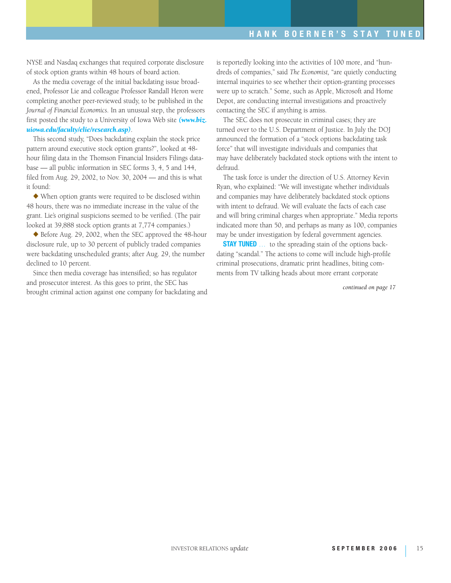NYSE and Nasdaq exchanges that required corporate disclosure of stock option grants within 48 hours of board action.

As the media coverage of the initial backdating issue broadened, Professor Lie and colleague Professor Randall Heron were completing another peer-reviewed study, to be published in the *Journal of Financial Economics*. In an unusual step, the professors first posted the study to a University of Iowa Web site *[\(www.biz.](http://www.biz.uiowa.edu/faculty/elie/research.asp) [uiowa.edu/faculty/elie/research.asp\)](http://www.biz.uiowa.edu/faculty/elie/research.asp)*.

This second study, "Does backdating explain the stock price pattern around executive stock option grants?", looked at 48 hour filing data in the Thomson Financial Insiders Filings database — all public information in SEC forms 3, 4, 5 and 144, filed from Aug. 29, 2002, to Nov. 30, 2004 — and this is what it found:

◆ When option grants were required to be disclosed within 48 hours, there was no immediate increase in the value of the grant. Lie's original suspicions seemed to be verified. (The pair looked at 39,888 stock option grants at 7,774 companies.)

◆ Before Aug. 29, 2002, when the SEC approved the 48-hour disclosure rule, up to 30 percent of publicly traded companies were backdating unscheduled grants; after Aug. 29, the number declined to 10 percent.

Since then media coverage has intensified; so has regulator and prosecutor interest. As this goes to print, the SEC has brought criminal action against one company for backdating and

is reportedly looking into the activities of 100 more, and "hundreds of companies," said *The Economist,* "are quietly conducting internal inquiries to see whether their option-granting processes were up to scratch." Some, such as Apple, Microsoft and Home Depot, are conducting internal investigations and proactively contacting the SEC if anything is amiss.

The SEC does not prosecute in criminal cases; they are turned over to the U.S. Department of Justice. In July the DOJ announced the formation of a "stock options backdating task force" that will investigate individuals and companies that may have deliberately backdated stock options with the intent to defraud.

The task force is under the direction of U.S. Attorney Kevin Ryan, who explained: "We will investigate whether individuals and companies may have deliberately backdated stock options with intent to defraud. We will evaluate the facts of each case and will bring criminal charges when appropriate." Media reports indicated more than 50, and perhaps as many as 100, companies may be under investigation by federal government agencies.

**STAY TUNED** ... to the spreading stain of the options backdating "scandal." The actions to come will include high-profile criminal prosecutions, dramatic print headlines, biting comments from TV talking heads about more errant corporate

*continued on page 17*